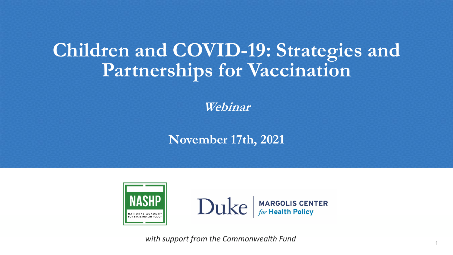## **Children and COVID-19: Strategies and Partnerships for Vaccination**

**Webinar**

#### **November 17th, 2021**





*with support from the Commonwealth Fund*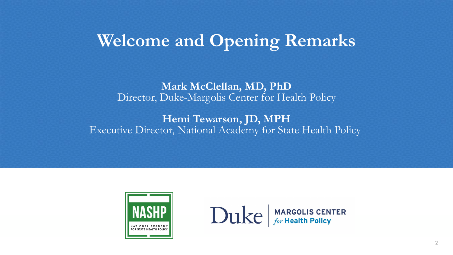#### **Welcome and Opening Remarks**

**Mark McClellan, MD, PhD** Director, Duke-Margolis Center for Health Policy

**Hemi Tewarson, JD, MPH** Executive Director, National Academy for State Health Policy



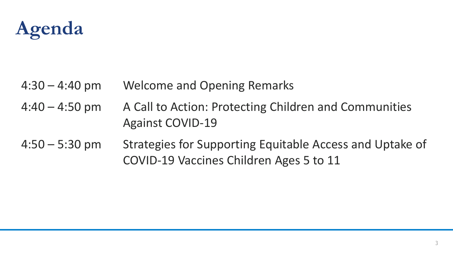

- 4:30 4:40 pm Welcome and Opening Remarks
- 4:40 4:50 pm A Call to Action: Protecting Children and Communities Against COVID-19
- 4:50 5:30 pm Strategies for Supporting Equitable Access and Uptake of COVID-19 Vaccines Children Ages 5 to 11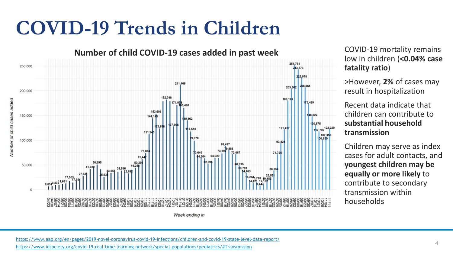## **COVID-19 Trends in Children**



COVID-19 mortality remains low in children (**<0.04% case fatality ratio**)

>However, **2%** of cases may result in hospitalization

Recent data indicate that children can contribute to **substantial household transmission**

Children may serve as index cases for adult contacts, and **youngest children may be equally or more likely** to contribute to secondary transmission within households

Week ending in

<https://www.aap.org/en/pages/2019-novel-coronavirus-covid-19-infections/children-and-covid-19-state-level-data-report/>

<https://www.idsociety.org/covid-19-real-time-learning-network/special-populations/pediatrics/#Transmission>

Number of child cases added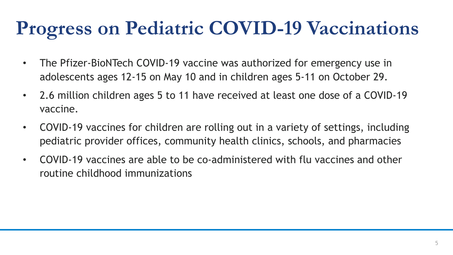# **Progress on Pediatric COVID-19 Vaccinations**

- The Pfizer-BioNTech COVID-19 vaccine was authorized for emergency use in adolescents ages 12-15 on May 10 and in children ages 5-11 on October 29.
- 2.6 million children ages 5 to 11 have received at least one dose of a COVID-19 vaccine.
- COVID-19 vaccines for children are rolling out in a variety of settings, including pediatric provider offices, community health clinics, schools, and pharmacies
- COVID-19 vaccines are able to be co-administered with flu vaccines and other routine childhood immunizations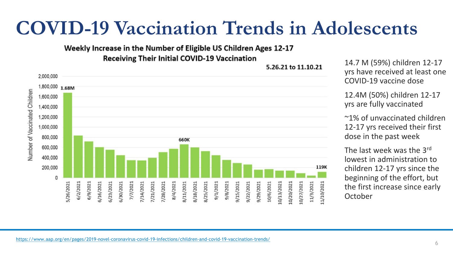### **COVID-19 Vaccination Trends in Adolescents**

#### Weekly Increase in the Number of Eligible US Children Ages 12-17 **Receiving Their Initial COVID-19 Vaccination**



5.26.21 to 11.10.21

14.7 M (59%) children 12-17 yrs have received at least one COVID-19 vaccine dose

12.4M (50%) children 12-17 yrs are fully vaccinated

~1% of unvaccinated children 12-17 yrs received their first dose in the past week

The last week was the 3rd lowest in administration to children 12-17 yrs since the beginning of the effort, but the first increase since early October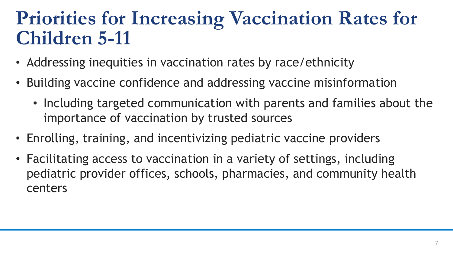### **Priorities for Increasing Vaccination Rates for Children 5-11**

- Addressing inequities in vaccination rates by race/ethnicity
- Building vaccine confidence and addressing vaccine misinformation
	- Including targeted communication with parents and families about the importance of vaccination by trusted sources
- Enrolling, training, and incentivizing pediatric vaccine providers
- Facilitating access to vaccination in a variety of settings, including pediatric provider offices, schools, pharmacies, and community health centers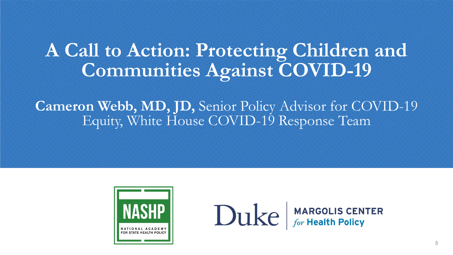## **A Call to Action: Protecting Children and Communities Against COVID-19**

**Cameron Webb, MD, JD,** Senior Policy Advisor for COVID-19 Equity, White House COVID-19 Response Team



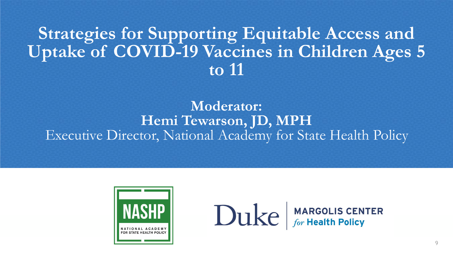#### **Strategies for Supporting Equitable Access and Uptake of COVID-19 Vaccines in Children Ages 5 to 11**

**Moderator: Hemi Tewarson, JD, MPH** Executive Director, National Academy for State Health Policy



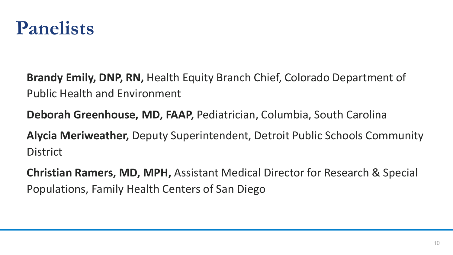#### **Panelists**

**Brandy Emily, DNP, RN,** Health Equity Branch Chief, Colorado Department of Public Health and Environment

**Deborah Greenhouse, MD, FAAP,** Pediatrician, Columbia, South Carolina

**Alycia Meriweather,** Deputy Superintendent, Detroit Public Schools Community **District** 

**Christian Ramers, MD, MPH,** Assistant Medical Director for Research & Special Populations, Family Health Centers of San Diego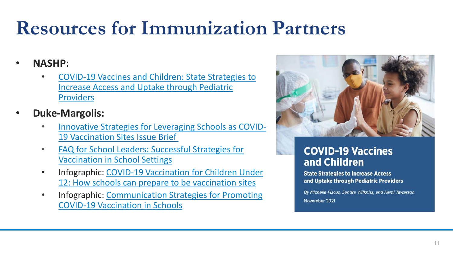# **Resources for Immunization Partners**

- **NASHP:**
	- [COVID-19 Vaccines and Children: State Strategies to](https://www.nashp.org/covid-19-vaccines-and-children-state-strategies-to-increase-access-and-uptake-through-pediatric-providers/)  Increase Access and Uptake through Pediatric **Providers**
- **Duke-Margolis:**
	- [Innovative Strategies for Leveraging Schools as COVID-](https://healthpolicy.duke.edu/publications/innovative-strategies-leveraging-schools-covid-19-vaccination-sites)19 Vaccination Sites Issue Brief
	- [FAQ for School Leaders: Successful Strategies for](https://healthpolicy.duke.edu/sites/default/files/2021-11/School%20Vaccination%20FAQ%20Final.pdf)  Vaccination in School Settings
	- Infographic: COVID-19 Vaccination for Children Under [12: How schools can prepare to be vaccination sites](https://healthpolicy.duke.edu/sites/default/files/2021-11/School%20Vaccination%20Under%2012%20Final.pdf)
	- Infographic: Communication Strategies for Promoting COVID-19 Vaccination in Schools



#### **COVID-19 Vaccines** and Children

**State Strategies to Increase Access** and Uptake through Pediatric Providers

By Michelle Fiscus, Sandra Wilkniss, and Hemi Tewarson November 2021